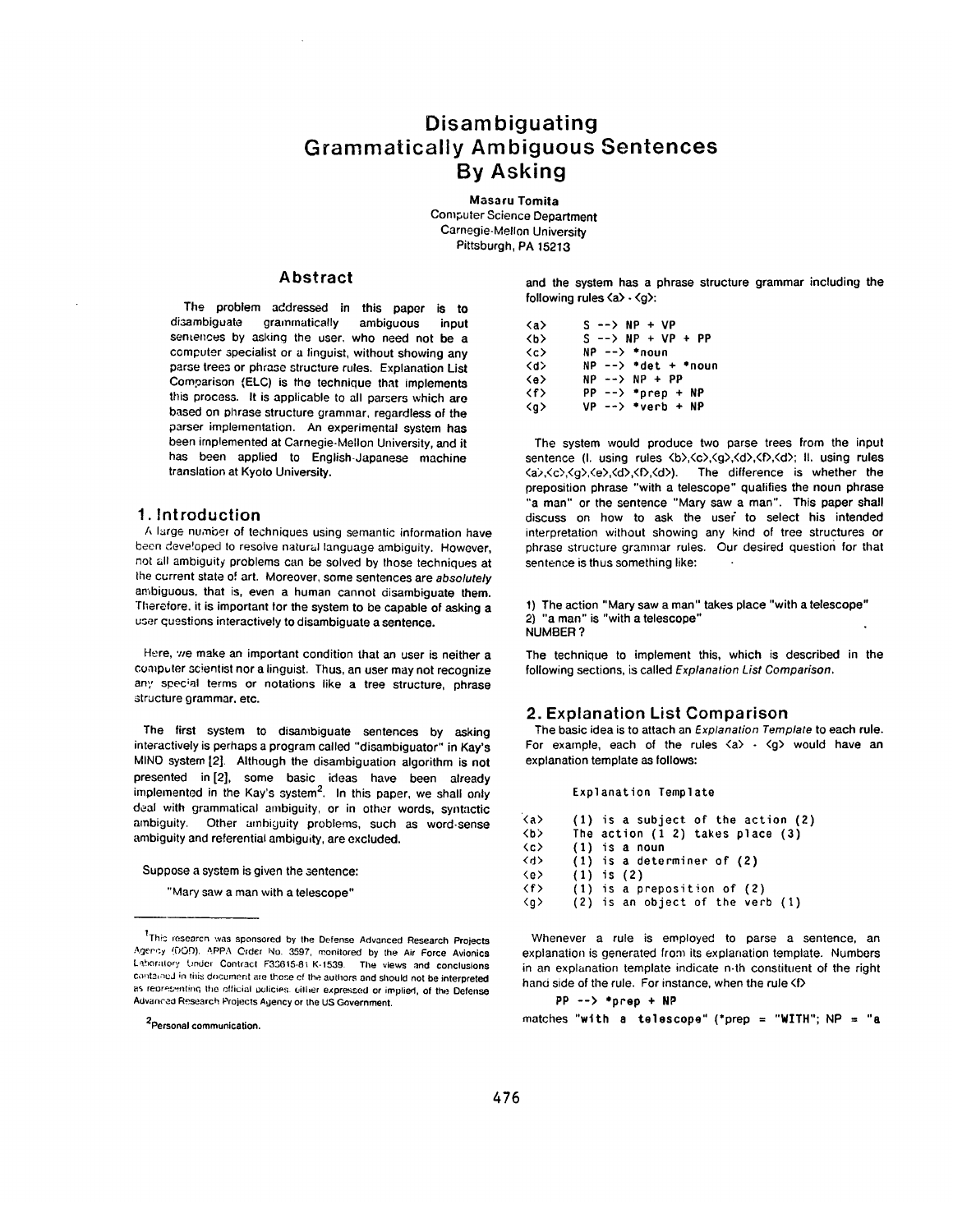# **Disambiguating Grammatically Ambiguous Sentences By Asking**

**Masaru Tomita** Computer Science Department Carnegie-Mellon University Pittsburgh, PA 15213

### **Abstract**

The problem addressed in this paper is to<br>disambiouate grammatically ambiquous input grammatically ambiguous input semences by asking the user. who need not be a computer specialist or a linguist, without showing any parse trees or phrase structure rules. Explanation List Comgarison (ELC) is the technique that implements this process. It is applicable to all parsers which are based on phrase structure grammar, regardless of the parser implementation. An experimental system has been implemented at Carnegie-Mellon University, and it has been applied to English-Japanese machine translation at Kyoto University.

### **1.** Introduction

A large number of techniques using semantic information have been deve!oped to resolve natural language ambiguity. However, not all ambiguity problems can be solved by those techniques at the current state of art. Moreover, some sentences are *absolutely*  ambiguous, that is, even a human cannot disambiguate them. Therefore. it is important for the system to be capable of asking a user questions interactively to disambiguate a sentence.

Here, we make an important condition that an user is neither a computer scientist nor a linguist. Thus, an user may not recognize any special terms or notations like a tree structure, phrase structure grammar, etc.

The first system to disambiguate sentences by asking interactively is perhaps a program called "disambiguator" in Kay's MINO system [2]. Although the disambiguation algorithm is not presented in [2], some basic ideas have been already implemented in the Kay's system<sup>2</sup>. In this paper, we shall only deal with grammatical ambiguity, or in other words, syntactic ambiguity. Other umhiguity problems, such as word-sense ambiguity and referential ambiguity, are excluded.

Suppose a system is given the sentence:

"Mary saw a man with a telescope"

2personal communication.

and the system has a phrase structure grammar including the following rules  $\langle a \rangle \cdot \langle q \rangle$ :

 $\langle a \rangle$  S --> NP + VP  $\langle b \rangle$  S --> NP + VP + PP **<c>** NP --> \*noun  $NP$  --> \*det + \*noun **<e>** NP --> NP + PP <f> PP --> \*prep + NP  $\langle q \rangle$  VP --> \*verb + NP

The system would produce two parse trees from the input sentence (I. using rules  $\langle b \rangle$ , $\langle c \rangle$ , $\langle g \rangle$ , $\langle d \rangle$ , $\langle f \rangle$ , $\langle d \rangle$ ; II. using rules <a>,<c>,<g>,<e>,<d>,<f>,<d>). The difference is whether the preposition phrase "with a telescope" qualifies the noun phrase 'a man" or the sentence "Mary saw a man". This paper shall discuss on how to ask the user to select his intended interpretation without showing any kind of tree structures or phrase structure grammar rules. Our desired question for that sentence is thus something like:

1) The action "Mary saw a man" takes place "with a telescope" 2) "a man" is "with a telescope" NUMBER ?

The technique to implement this, which is described in the following sections, is called *Explanation List Comparison.* 

## **2.** Explanation List Comparison

The basic idea is to attach an *Explanation Template* to each rule. For example, each of the rules  $\langle a \rangle$  -  $\langle q \rangle$  would have an explanation template as follows:

#### Explanation Template

| <a></a>             | $(1)$ is a subject of the action $(2)$ |
|---------------------|----------------------------------------|
| くりン                 | The action $(1\ 2)$ takes place $(3)$  |
| $\langle c \rangle$ | $(1)$ is a noun                        |
| <4>                 | $(1)$ is a determiner of $(2)$         |
| $\langle e \rangle$ | $(1)$ is $(2)$                         |
| くぞう                 | $(1)$ is a preposition of $(2)$        |
| $\langle q \rangle$ | $(2)$ is an object of the verb $(1)$   |

Whenever a rule is employed to parse a sentence, an explanation is generated from its explanation template. Numbers in an explanation template indicate n-th constituent of the right hand side of the rule. For instance, when the rule <f>

PP --> **\*prep +** NP matches "with a telescope" (\*prep = "WITH";  $NP = "a$ 

<sup>&</sup>lt;sup>7</sup>This researcn was sponsored by the Defense Advanced Research Projects Agericy (DOD), APPA Crder No. 3597, monitored by the Air Force Avionics Laboratory Under Contract F33615-81 K-1539. The views and conclusions contained in this document are those of the authors and should not be interpreted as reoresenting the official policies. either expressed or implied, of the Defense Advanced Research Projects Agency or the US Government.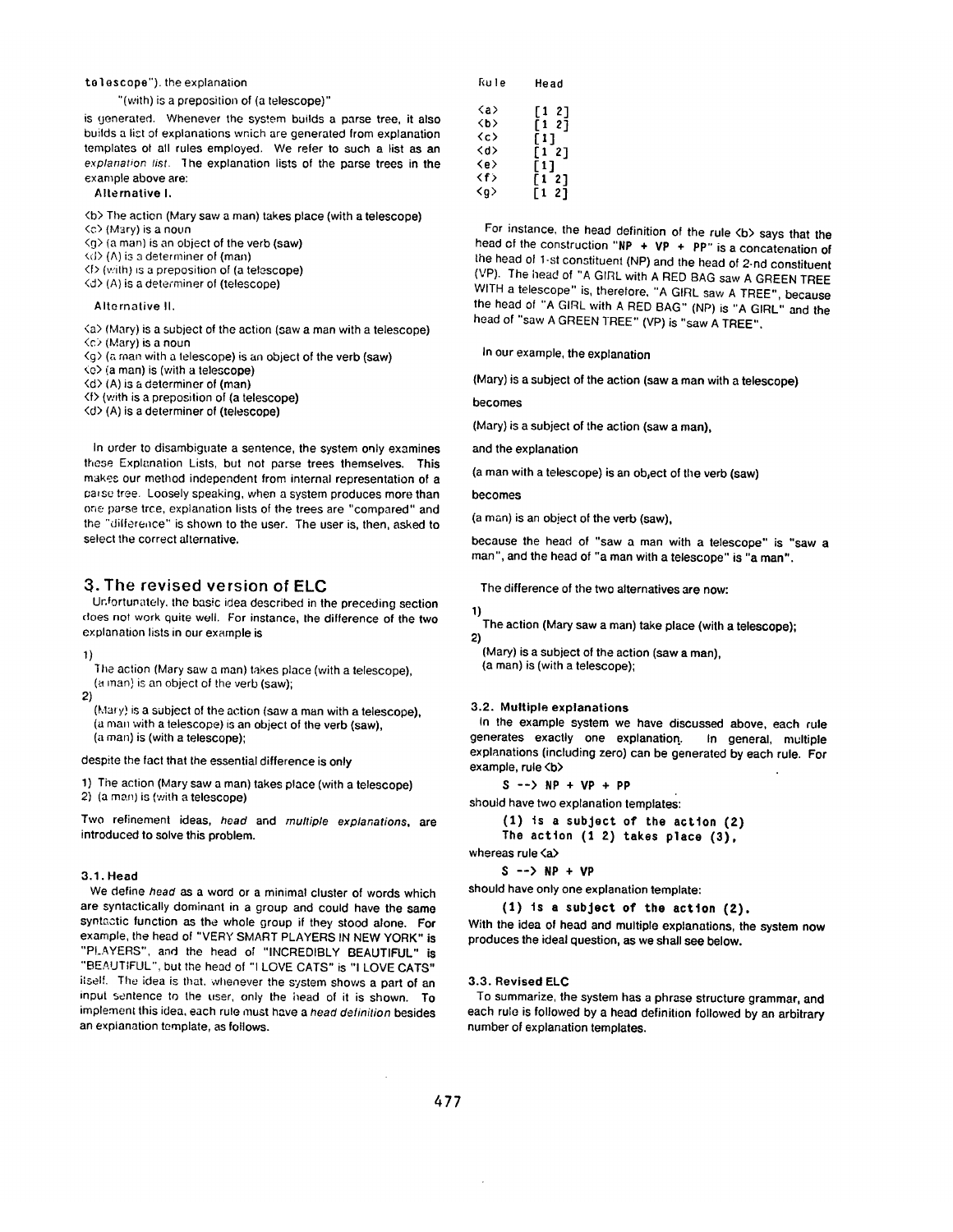#### telescope"), the explanation

"(with) is a preposition of (a telescope)"

is generated. Whenever the system builds a parse tree, it also builds a list of explanations wnich are generated from explanation templates ot all rules employed. We refer to such a list as an *explanation list.* the explanation lists of the parse trees in the example above are:

#### Alternative I.

<b> The action (Mary saw a man) takes place (with a telescope)

- <c3 (Mary) is a noun
- <g> (a man) is an object of the verb (saw)
- Cd> (A) is a determiner of (man)
- <f> (v:ith) =s a preposition of (a telescope)  $\langle d \rangle$  (A) is a determiner of (telescope)

#### Alternative II.

<a> (Mary) is a subject of the action (saw a man with a telescope)

- <c> (Mary) is a noun
- $\langle g \rangle$  (a man with a telescope) is an object of the verb (saw)
- <e> (a man) is (with a telescope)
- <d> (A) is a determiner of (man)
- <f> (with is a preposition of (a telescope)

<d> (A) is a determiner of (telescope)

In order to disambiguate a sentence, the system only examines these Explanation Lists, but not parse trees themselves. This makes our method independent from internal representation of a parse tree. Loosely speaking, when a system produces more than erie parse tree, explanation lists of the trees are "compared" and the "dilference" is shown to the user. The user is, then, asked to select the correct alternative.

# **3.** The revised version of **ELC**

Ur, fortunately, the basic idea described in the preceding section does not work quite well. For instance, the difference of the two explanation lists in our example is

1)

The action (Mary saw a man) takes place (with a telescope), (a man) is an object of the verb (saw);

2)

(Mary) is a subject of the action (saw a man with a telescope), (a man with a telescope) is an object of the verb (saw), (a man) is (with a telescope);

despite the fact that the essential difference is only

1) The action (Mary saw a man) takes place (with a telescope) 2) (a man) is (with a telescope)

Two refinement ideas, *head* and *multiple explanations,* are introduced to solve this problem.

### **3.1. Head**

We define *head* as a word or a minimal cluster of words which are syntactically dominant in a group and could have the same syntactic function as the whole group if they stood alone. For example, the head of "VERY SMART PLAYERS IN NEW YORK" is "PLAYERS", and the head o! "INCREDIBLY BEAUTIFUL" is "BEAUTIFUL", but the head of "1 LOVE CATS" is "1 LOVE CATS" ilself. The idea is that, whenever the system shows a part of an input sentence to the user, only the head of it is shown. To implement this idea, each rule must have a *head definition* besides an explanation template, as follows.

| ƙule                                               | Head                                |
|----------------------------------------------------|-------------------------------------|
| <a><br/>くわゝ<br/><c><br/><d><br/>≺e&gt;</d></c></a> | [12]<br>[1 2]<br>[1]<br>[12]<br>[1] |
| くずう<br><o></o>                                     | [12]<br>-21<br>ſ1                   |

For instance, the head definition of the rule <br/>b> says that the head of the construction "NP  $+$  VP  $+$  PP" is a concatenation of the head of 1.st constituent (NP) and the head of 2-nd constituent (VP). The head of "A GIRL with A RED BAG saw A GREEN TREE WITH a telescope" is, therefore, "A GIRL saw A TREE", because the head of "A GIRL with A RED BAG" (NP) is "A GIRL" and the head of "saw A GREEN TREE" (VP) is "saw A TREE".

in our example, the explanation

(Mary) is a subject of the action (saw a man with a telescope)

becomes

(Mary) is a subject of the action (saw a man),

and the explanation

(a man with a telescope) is an object of the verb (saw)

becomes

(a man) is an object of the verb (saw),

because the head of "saw a man with a telescope" is "saw a man", and the head of "a man with a telescope" is "a man".

The difference of the two alternatives are now:

#### t)

The action (Mary saw a man) take place (with a telescope); 2)

(Mary) is a subject of the action (saw a man), (a man) is (with a telescope);

#### 3.2. Multiple **explanations**

In the example system we have discussed above, each rule generates exactly one explanation.. In general, multiple explanations (including zero) can be generated by each rule. For example, rule <b>

**S --> NP + VP + PP** 

should have two explanation templates:

```
(1) ts a subject of Lhe acLton (2) 
The actton (1 2) takes place (3),
```

```
whereas rule \langle a \rangle
```
 $S \rightarrow NP + VP$ 

should have only one explanation template:

 $(1)$  is a subject of the action  $(2)$ .

With the idea of head and multiple explanations, the system now produces the ideal question, as we shall see below.

### **3.3. Revised ELC**

To summarize, the system has a phrase structure grammar, and each rule is followed by a head definition followed by an arbitrary number of explanation templates.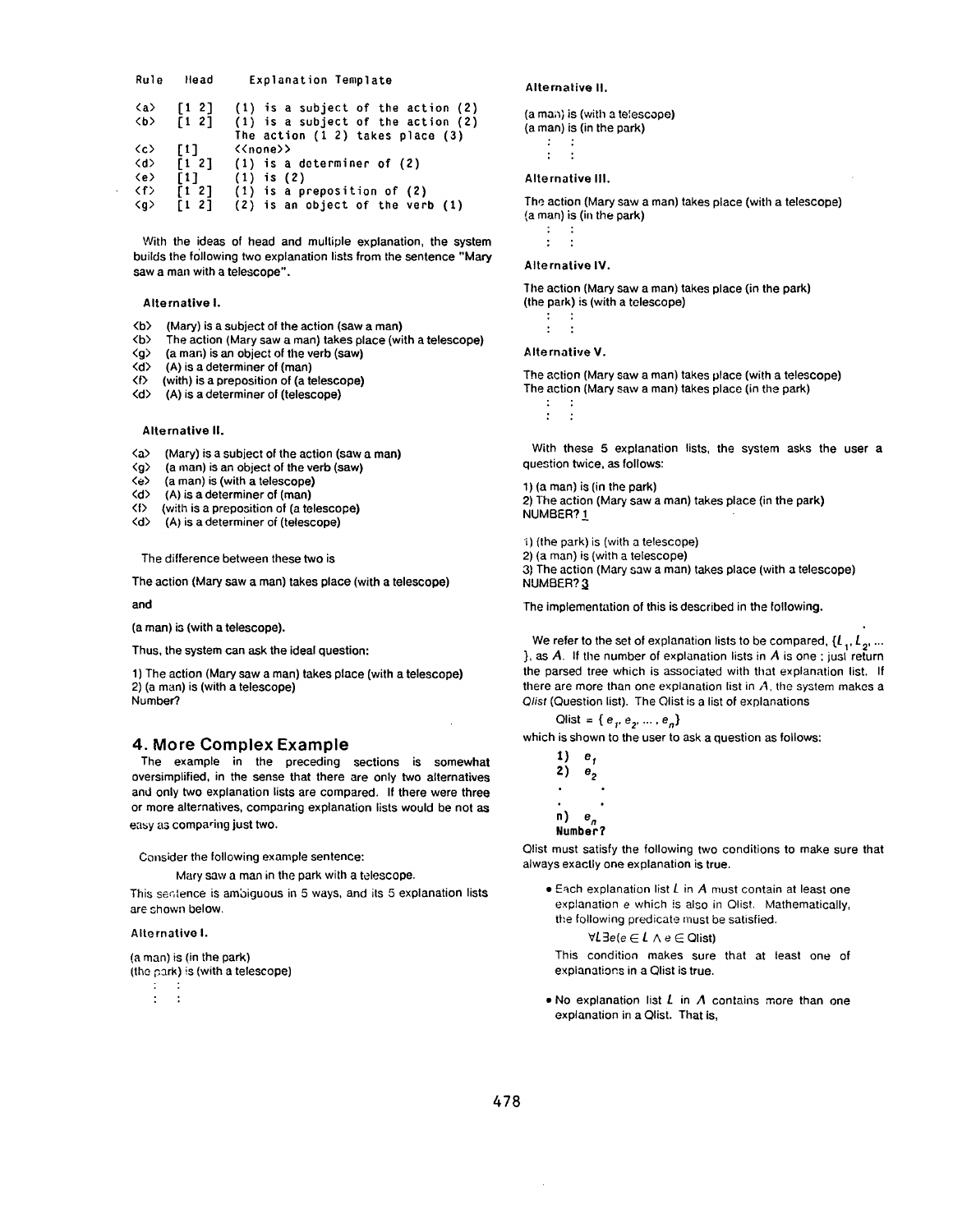| Rule                                       | Head                                           | Explanation Template                                                            |  |
|--------------------------------------------|------------------------------------------------|---------------------------------------------------------------------------------|--|
| <a><br/>くり〉</a>                            | $\begin{bmatrix} 1 & 2 \end{bmatrix}$<br>[1 2] | $(1)$ is a subject of the action $(2)$<br>(1) is a subject of the action (2)    |  |
|                                            |                                                | The action $(1\ 2)$ takes place $(3)$                                           |  |
| $\langle c \rangle$<br>$\langle d \rangle$ | $\sqrt{1}$                                     | < <none>&gt;<br/><math>\lceil 1 \rceil</math> (1) is a determiner of (2)</none> |  |
| $\langle e \rangle$<br>$\langle f \rangle$ | <b>F11</b><br>$\lceil 1 \rceil$                | $(1)$ is $(2)$<br>$(1)$ is a preposition of $(2)$                               |  |
| $\langle q \rangle$                        | <b>F1 27</b>                                   | (2) is an object of the verb (1)                                                |  |

With the ideas of head and multiple explanation, the system builds the following two explanation lists from the sentence "Mary saw a man with a telescope".

#### Alternative I.

- $\langle b \rangle$  (Mary) is a subject of the action (saw a man)<br> $\langle b \rangle$  The action (Mary saw a man) takes place (wi
- <b> The action (Mary saw a man) takes place (with a telescope)
- $\langle q \rangle$  (a man) is an object of the verb (saw)<br> $\langle d \rangle$  (A) is a determiner of (man)
- $(A)$  is a determiner of  $(man)$
- $\langle f \rangle$  (with) is a preposition of (a telescope)<br> $\langle d \rangle$  (A) is a determiner of (telescope)
- (A) is a determiner of (telescope)

#### Alternative II.

- <a> (Mary) is a subject of the action (saw a man)
- <g> (a man) is an object of the verb (saw)
- $\langle e \rangle$  (a man) is (with a telescope)<br> $\langle d \rangle$  (A) is a determiner of (man)
- $(A)$  is a determiner of  $(\text{man})$
- $\langle f \rangle$  (with is a preposition of (a telescope)<br> $\langle d \rangle$  (A) is a determiner of (telescope)
- (A) is a determiner of (telescope)

The difference between these two is

The action (Mary saw a man) takes place (with a telescope)

#### and

(a man) is (with a telescope).

Thus, the system can ask the ideal question:

1) The action (Mary saw a man) takes place (with a telescope) 2) (a man) is (with a telescope) Number?.

### 4. More Complex Example

The example in the preceding sections is somewhat oversimplified, in the sense that there are only two alternatives and only two explanation lists are compared. If there were three or more alternatives, comparing explanation lists would be not as easy as comparing just two.

Consider the following example sentence:

Mary saw a man in the park with a telescope.

This sentence is ambiguous in 5 ways, and its 5 explanation lists are shown below.

#### Alternative I.

(a man) is (in the park) (the Gark) is (with a telescope)

 $\ddot{\phantom{a}}$  $\cdot$  :

#### Alternative II.

(a man) is (with a telescope) (a man) is (in the park)  $\cdot$  :  $\mathcal{L}$ 

# Alternative III.

The action (Mary saw a man) takes place (with a *telescope)*   $(a \text{ man})$  is  $(in \text{ the park})$  $\ddot{\cdot}$ 

 $\ddot{\phantom{a}}$  $\overline{\phantom{a}}$ :

### Alternative IV.

The action (Mary saw a man) takes place (in the park) (the park) is (with a telescope)

: : : :

#### Alternative V.

The action (Mary saw a man) takes place (with a telescope) The action (Mary saw a man) takes place (in the park) : :

With these 5 explanation lists, the system asks the user a question twice, as follows:

1) (a man) is (in the park) 2) The action (Mary saw a man) takes place (in the park) NUMBER? 1

i) (the park) is (with a telescope) 2) (a man) is (with a telescope)

3) The action (Mary saw a man) takes place (with a telescope) NUMBER? 3

The implementation of this is described in the following.

We refer to the set of explanation lists to be compared,  $\{l_1, l_2, ...$ }, as  $A$ . If the number of explanation lists in  $A$  is one ; just return the parsed tree which is associated with that explanation list. If there are more than one explanation list in  $A$ , the system makes a *Qlist* (Question list). The Qlist is a list of explanations

Qlist = { $e_1, e_2, ..., e_n$ } which is shown to the user to ask a question as follows:

 $1)$  e. **2)**  $e_2$  $\bullet$ *n) e n*  **Number?** 

Qlist must satisfy the following two conditions to make sure that always exactly one explanation is true.

 $\bullet$  Each explanation list  $L$  in  $A$  must contain at least one explanation e which is also in Olist. Mathematically, the following predicate must be satisfied.

 $\forall L \exists e (e \in L \land e \in \mathsf{O}$ list)

This condition makes sure that at least one of explanations in a Qlist is true.

• No explanation list  $L$  in  $A$  contains more than one explanation in a Qlist. That is,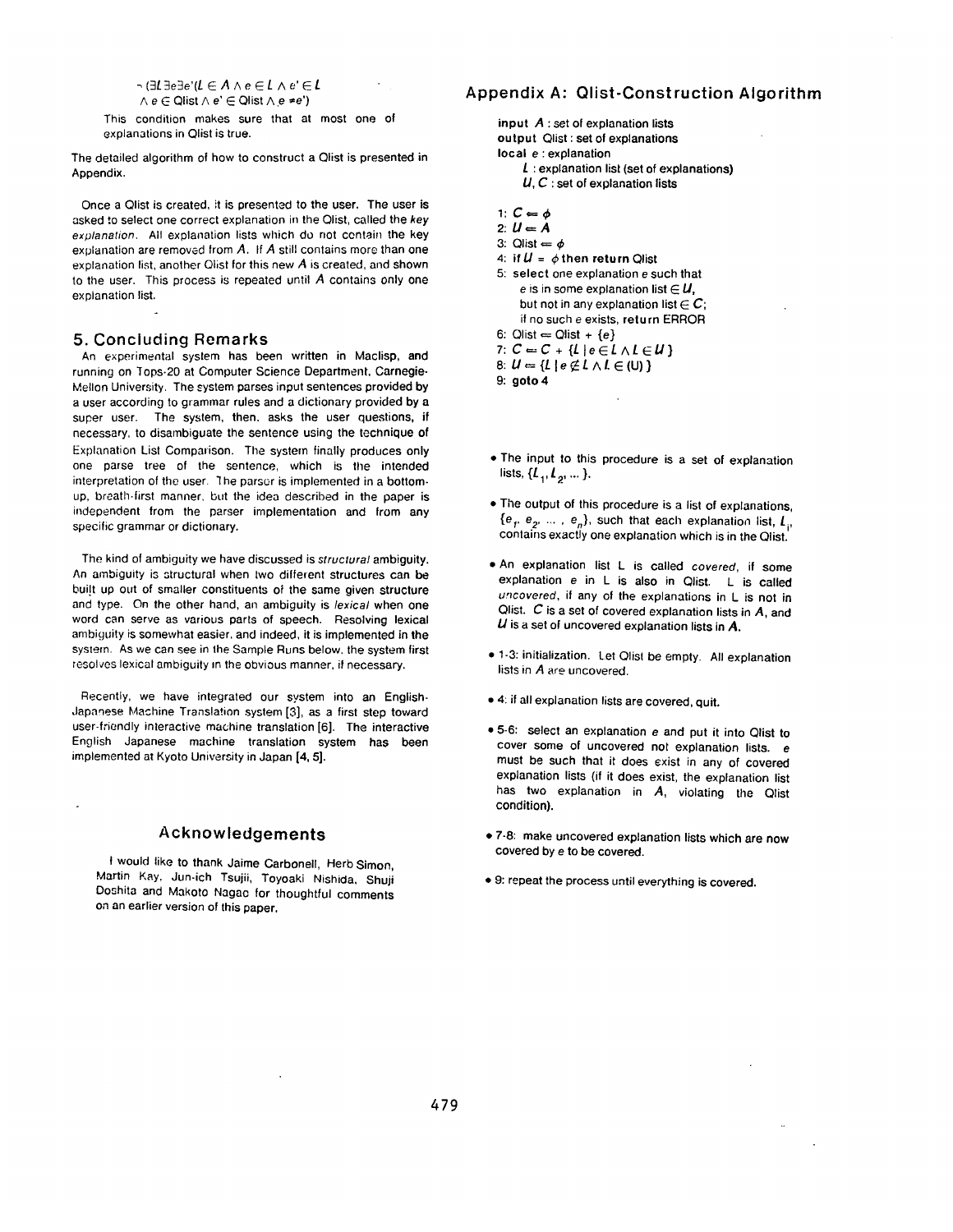*~(gLgege'(L E AAeEL Ae'EL*   $\land e \in$  Qlist  $\land e' \in$  Qlist  $\land e \neq e'$ )

This condition makes sure that at most one of explanations in Qlist is true.

The detailed algorithm of how to construct a Qlist is presented in Appendix.

Once a Olist is created, it is presented to the user. The user is asked to select one correct explanation in the Qlist, called the *key explanation.* All explanation lists which do not contain the key explanation are removed from A. If A still contains more than one explanation list, another Olist for this new A is created, and shown to the user. This process is repeated until A contains only one explanation list.

### **5.** Concluding Remarks

An experimental system has been written in Maclisp, and running on Tops-20 at Computer Science Department, Carnegie-Mellon University. The system parses input sentences provided by a user according to grammar rules and a dictionary provided by a super user. The system, then. asks the user questions, if necessary, to disambiguate the sentence using the technique of Explanation List Comparison. The system finally produces only one parse tree of the sentence, which is the intended interpretation of the user. 1he parsor is implemented in a bottomup, breath-first manner, but the idea described in the paper is independent from the parser implementation and from any specific grammar or dictionary.

The kind of ambiguity we have discussed is *structural* ambiguity. An ambiguity is structural when two different structures can be built up out of smaller constituents of the same given structure and type. On the other hand, an ambiguity is *lexical* when one word can serve as various parts of speech. Resolving lexical ambiguity is somewhat easier, and indeed, it is implemented in the system. As we can see in the Sample Runs below, the system first resolves lexical ambiguity m the obvious manner, if necessary.

Recently, we have integrated our system into an English-Japanese Machine Translation system [3], as a first step toward user-friendly interactive machine translation [6]. The interactive English Japanese machine translation system has been implemented at Kyoto University in Japan [4, 5].

# **Acknowledgements**

I would like to thank Jaime Carbonell, Herb Simon, Martin Kay, Jun-ich Tsujii, Toyoaki Nishida, Shuji Doshita and Makoto Nagao for thoughtful comments on an earlier version of this paper.

# Appendix A: Qlist-Construction Algorithm

input A : set of explanation lists output Qlist : set of explanations **local** e : explanation

- $L$ : explanation list (set of explanations)  $U, C$ : set of explanation lists
- 1:  $C=\phi$
- 2:  $U = A$
- 3: Olist  $=$   $\phi$
- 4: if  $U = \phi$  then return Qlist
- 5: select one explanation e such that e is in some explanation list  $\in U$ . but not in any explanation list  $\in$  C; if no such e exists, return ERROR
- 6:  $Qlist = Qlist + \{e\}$
- 7:  $C = C + \{L | e \in L \land L \in U\}$
- 8:  $U = \{L \mid e \notin L \land L \in (U)\}\$

**9: goto 4** 

- The input to this procedure is a set of explanation lists,  $\{L_1, L_2, ...\}$ .
- The output of this procedure is a list of explanations,  ${e<sub>r</sub>, e<sub>2</sub>, ..., e<sub>n</sub>}$ , such that each explanation list,  $L<sub>i</sub>$ , contains exactly one explanation which is in the Qlist.
- An explanation list L is called *covered,* if some explanation e in L is also in Qlist. L is called *uncovered,* if any of the explanations in L is not in Qlist.  $C$  is a set of covered explanation lists in  $A$ , and  $U$  is a set of uncovered explanation lists in  $A$ .
- **1-3:** initialization, let Olisl be empty. All explanation lists in *A are* uncovered.
- 4: if all explanation lists are covered, quit.
- 5-6: select an explanation e and put it into Qlist to cover some of uncovered not explanation lists, e must be such that it does exist in any of covered explanation lists (if it does exist, the explanation list has two explanation in  $A$ , violating the Qlist condition).
- 7-8: make uncovered explanation lists which are now covered by e to be covered.
- 9: repeat the process until everything is covered.